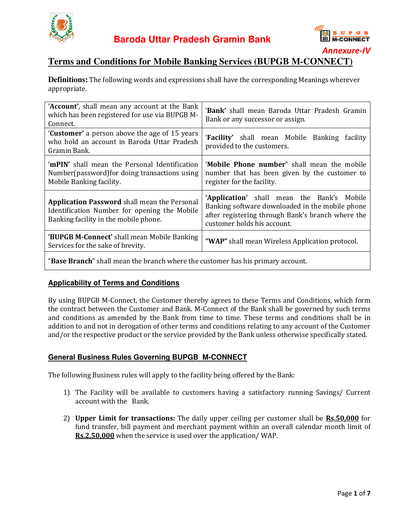



### **Terms and Conditions for Mobile Banking Services (BUPGB M Banking Services (BUPGB M-CONNECT) CONNECT)**

|                                                                                                                                                                                                     | <b>Annexure-IV</b>                                                                                                                                                                                                                                                                                                                                                                                                                                                                                                            |  |  |  |  |  |  |
|-----------------------------------------------------------------------------------------------------------------------------------------------------------------------------------------------------|-------------------------------------------------------------------------------------------------------------------------------------------------------------------------------------------------------------------------------------------------------------------------------------------------------------------------------------------------------------------------------------------------------------------------------------------------------------------------------------------------------------------------------|--|--|--|--|--|--|
| <b>Terms and Conditions for Mobile Banking Services (BUPGB M-CONNECT)</b><br><b>Definitions:</b> The following words and expressions shall have the corresponding Meanings wherever<br>appropriate. |                                                                                                                                                                                                                                                                                                                                                                                                                                                                                                                               |  |  |  |  |  |  |
| 'Account', shall mean any account at the Bank<br>which has been registered for use via BUPGB M-<br>Connect.                                                                                         | 'Bank' shall mean Baroda Uttar Pradesh Gramin<br>Bank or any successor or assign.                                                                                                                                                                                                                                                                                                                                                                                                                                             |  |  |  |  |  |  |
| 'Customer' a person above the age of 15 years<br>who hold an account in Baroda Uttar Pradesh<br>Gramin Bank.                                                                                        | 'Facility' shall mean Mobile Banking<br>facility<br>provided to the customers.                                                                                                                                                                                                                                                                                                                                                                                                                                                |  |  |  |  |  |  |
| 'mPIN' shall mean the Personal Identification<br>Number(password) for doing transactions using<br>Mobile Banking facility.                                                                          | 'Mobile Phone number" shall mean the mobile<br>number that has been given by the customer to<br>register for the facility.                                                                                                                                                                                                                                                                                                                                                                                                    |  |  |  |  |  |  |
| <b>Application Password shall mean the Personal</b><br>Identification Number for opening the Mobile<br>Banking facility in the mobile phone.                                                        | 'Application' shall mean the Bank's Mobile<br>Banking software downloaded in the mobile phone<br>after registering through Bank's branch where the<br>customer holds his account.                                                                                                                                                                                                                                                                                                                                             |  |  |  |  |  |  |
| 'BUPGB M-Connect' shall mean Mobile Banking<br>Services for the sake of brevity.                                                                                                                    | "WAP" shall mean Wireless Application protocol.                                                                                                                                                                                                                                                                                                                                                                                                                                                                               |  |  |  |  |  |  |
| "Base Branch" shall mean the branch where the customer has his primary account.                                                                                                                     |                                                                                                                                                                                                                                                                                                                                                                                                                                                                                                                               |  |  |  |  |  |  |
| <b>Applicability of Terms and Conditions</b>                                                                                                                                                        |                                                                                                                                                                                                                                                                                                                                                                                                                                                                                                                               |  |  |  |  |  |  |
|                                                                                                                                                                                                     | By using BUPGB M-Connect, the Customer thereby agrees to these Terms and Conditions, which form<br>the contract between the Customer and Bank. M-Connect of the Bank shall be governed by such terms<br>and conditions as amended by the Bank from time to time. These terms and conditions shall be in<br>addition to and not in derogation of other terms and conditions relating to any account of the Customer<br>and/or the respective product or the service provided by the Bank unless otherwise specifically stated. |  |  |  |  |  |  |
| <b>General Business Rules Governing BUPGB M-CONNECT</b>                                                                                                                                             |                                                                                                                                                                                                                                                                                                                                                                                                                                                                                                                               |  |  |  |  |  |  |
| The following Business rules will apply to the facility being offered by the Bank:                                                                                                                  |                                                                                                                                                                                                                                                                                                                                                                                                                                                                                                                               |  |  |  |  |  |  |
| 1<br>account with the Bank.                                                                                                                                                                         | The Facility will be available to customers having a satisfactory running Savings/ Current                                                                                                                                                                                                                                                                                                                                                                                                                                    |  |  |  |  |  |  |
| 2)                                                                                                                                                                                                  | Upper Limit for transactions: The daily upper ceiling per customer shall be Rs.50,000 for<br>fund transfer, bill payment and merchant payment within an overall calendar month limit of                                                                                                                                                                                                                                                                                                                                       |  |  |  |  |  |  |

#### **Applicability of Terms and Conditions**

#### **General Business Rules Governing BUPGB M General M-CONNECT**

- 1) The Facility will be available to customers having a satisfactory running account with the Bank.
- 2) Upper Limit for transactions: The daily upper ceiling per customer shall be **Rs.50,000** for fund transfer, bill payment and merchant payment within an overall calendar month limit of **Rs.2,50,000** when the service is used over the application/ WAP.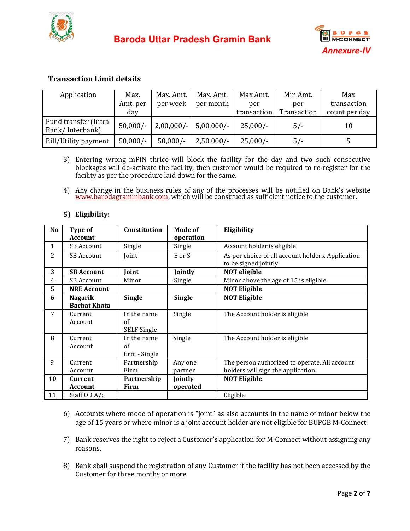



### **Transaction Limit details**

| Application                             | Max.       | Max. Amt.               | Max. Amt.    | Max Amt.    | Min Amt.    | Max           |
|-----------------------------------------|------------|-------------------------|--------------|-------------|-------------|---------------|
|                                         | Amt. per   | per week                | per month    | per         | per         | transaction   |
|                                         | day        |                         |              | transaction | Transaction | count per day |
| Fund transfer (Intra<br>Bank/Interbank) | $50,000/-$ | $2,00,000/-$ 5,00,000/- |              | $25,000/-$  | $5/-$       | 10            |
| Bill/Utility payment                    | $50,000/-$ | $50,000/-$              | $2,50,000/-$ | $25,000/-$  | $5/-$       |               |

- 3) Entering wrong mPIN thrice will block the facility for the day and two such consecutive Entering wrong mPIN thrice will block the facility for the day and two such consecutive<br>blockages will de-activate the facility, then customer would be required to re-register for the facility as per the procedure laid down for the same.
- 4) Any change in the business rules of any of the processes will be notified on Bank's website www.barodagraminbank.com, which will be construed as sufficient notice to the customer. facility as per the procedure laid down for the same.<br>Any change in the business rules of any of the processes will be notified on Bank's we<br><u>www.barodagraminbank.com</u>, which will be construed as sufficient notice to the c

|                                                                                                                                                                                                                                                                                                                                                                                                                                                                           |                                                  |                                         |                             |              |                                                                                     |             | <b>Annexure-IV</b> |  |  |  |
|---------------------------------------------------------------------------------------------------------------------------------------------------------------------------------------------------------------------------------------------------------------------------------------------------------------------------------------------------------------------------------------------------------------------------------------------------------------------------|--------------------------------------------------|-----------------------------------------|-----------------------------|--------------|-------------------------------------------------------------------------------------|-------------|--------------------|--|--|--|
| <b>Transaction Limit details</b>                                                                                                                                                                                                                                                                                                                                                                                                                                          |                                                  |                                         |                             |              |                                                                                     |             |                    |  |  |  |
| Max.<br>Application                                                                                                                                                                                                                                                                                                                                                                                                                                                       |                                                  | Max. Amt.                               | Max. Amt.                   | Max Amt.     | Min Amt.                                                                            | Max         |                    |  |  |  |
|                                                                                                                                                                                                                                                                                                                                                                                                                                                                           |                                                  | Amt. per                                | per week                    | per month    | per                                                                                 | per         | transaction        |  |  |  |
|                                                                                                                                                                                                                                                                                                                                                                                                                                                                           |                                                  | day                                     |                             |              | transaction                                                                         | Transaction | count per day      |  |  |  |
|                                                                                                                                                                                                                                                                                                                                                                                                                                                                           | Fund transfer (Intra<br>Bank/Interbank)          | $50,000/-$                              | $2,00,000/-$                | $5,00,000/-$ | $25,000/-$                                                                          | $5/-$       | 10                 |  |  |  |
|                                                                                                                                                                                                                                                                                                                                                                                                                                                                           | $50,000/-$<br>$50,000/-$<br>Bill/Utility payment |                                         | $2,50,000/-$                | $25,000/-$   | $5/-$                                                                               | 5           |                    |  |  |  |
| Entering wrong mPIN thrice will block the facility for the day and two such consecutive<br>3)<br>blockages will de-activate the facility, then customer would be required to re-register for the<br>facility as per the procedure laid down for the same.<br>Any change in the business rules of any of the processes will be notified on Bank's website www.barodagraminbank.com, which will be construed as sufficient notice to the customer.<br>4)<br>5) Eligibility: |                                                  |                                         |                             |              |                                                                                     |             |                    |  |  |  |
| N <sub>0</sub>                                                                                                                                                                                                                                                                                                                                                                                                                                                            | Type of<br><b>Account</b>                        | Constitution                            | <b>Mode of</b><br>operation |              | Eligibility                                                                         |             |                    |  |  |  |
| $\mathbf{1}$                                                                                                                                                                                                                                                                                                                                                                                                                                                              | <b>SB Account</b>                                | Single                                  | Single                      |              | Account holder is eligible                                                          |             |                    |  |  |  |
| 2                                                                                                                                                                                                                                                                                                                                                                                                                                                                         | <b>SB Account</b>                                | Joint                                   | E or S                      |              | As per choice of all account holders. Application<br>to be signed jointly           |             |                    |  |  |  |
| 3                                                                                                                                                                                                                                                                                                                                                                                                                                                                         | <b>SB Account</b>                                | Joint                                   | Jointly                     |              | <b>NOT</b> eligible                                                                 |             |                    |  |  |  |
| 4                                                                                                                                                                                                                                                                                                                                                                                                                                                                         | <b>SB Account</b>                                | Minor                                   | Single                      |              | Minor above the age of 15 is eligible                                               |             |                    |  |  |  |
| 5                                                                                                                                                                                                                                                                                                                                                                                                                                                                         | <b>NRE Account</b>                               |                                         |                             |              | <b>NOT Eligible</b>                                                                 |             |                    |  |  |  |
| 6                                                                                                                                                                                                                                                                                                                                                                                                                                                                         | <b>Nagarik</b><br><b>Bachat Khata</b>            | <b>Single</b>                           | <b>Single</b>               |              | <b>NOT Eligible</b>                                                                 |             |                    |  |  |  |
| 7                                                                                                                                                                                                                                                                                                                                                                                                                                                                         | Current<br>Account                               | In the name<br>of<br><b>SELF Single</b> | Single                      |              | The Account holder is eligible                                                      |             |                    |  |  |  |
| 8                                                                                                                                                                                                                                                                                                                                                                                                                                                                         | Current<br>Account                               | In the name<br>of<br>firm - Single      | Single                      |              | The Account holder is eligible                                                      |             |                    |  |  |  |
| 9                                                                                                                                                                                                                                                                                                                                                                                                                                                                         | Current<br>Account                               | Partnership<br>Firm                     | Any one<br>partner          |              | The person authorized to operate. All account<br>holders will sign the application. |             |                    |  |  |  |
| 10                                                                                                                                                                                                                                                                                                                                                                                                                                                                        | <b>Current</b><br>Account                        | Partnership<br>Firm                     | Jointly<br>operated         |              | <b>NOT Eligible</b>                                                                 |             |                    |  |  |  |
| 11                                                                                                                                                                                                                                                                                                                                                                                                                                                                        | Staff OD A/c                                     |                                         |                             |              | Eligible                                                                            |             |                    |  |  |  |
| Accounts where mode of operation is "joint" as also accounts in the name of minor below the<br>6)<br>age of 15 years or where minor is a joint account holder are not eligible for BUPGB M-Connect.<br>Bank reserves the right to reject a Customer's application for M-Connect without assigning any<br>7)<br>reasons.                                                                                                                                                   |                                                  |                                         |                             |              |                                                                                     |             |                    |  |  |  |
| Bank shall suspend the registration of any Customer if the facility has not been accessed by the<br>8)<br>Customer for three months or more                                                                                                                                                                                                                                                                                                                               |                                                  |                                         |                             |              |                                                                                     |             |                    |  |  |  |

### **5) Eligibility:**

- 6) Accounts where mode of operation is "joint" as also accounts in the name of minor below the age of 15 years or where minor is a joint account holder are not eligible for BUPGB M-Connect.
- 7) Bank reserves the right to reject a Customer's application for M-Connect without assigning any reasons.
- 8) Bank shall suspend the registration of any Customer if the facility has not been accessed by the Customer for three months or more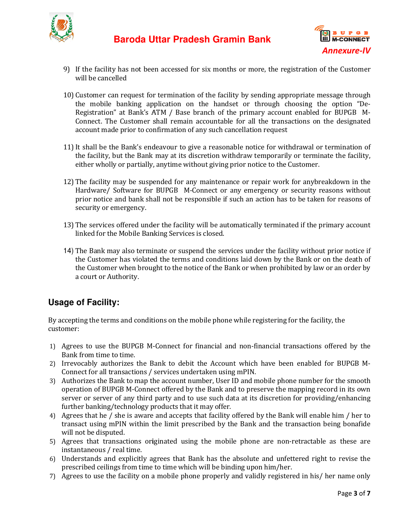



- 9) If the facility has not been accessed for six months or more, the registration of the Customer will be cancelled
- 10) Customer can request for termination of the facility by sending appropriate message through the mobile banking application on the handset or through choosing the option "De "De-Registration" at Bank's ATM / Base branch of the primary account enabled for BUPGB M M-Connect. The Customer shall remain accountable for all the transactions on the designated account made prior to confirmation of any such cancellation request If the facility has not been accessed for six months or more, the registration of the Customer<br>will be cancelled<br>Customer can request for termination of the facility by sending appropriate message through<br>the mobile bankin **Annexure-IV**<br>
been accessed for six months or more, the registration of the Customer<br>
for termination of the facility by sending appropriate message through<br>
application on the handset or through choosing the option "De-<br>
- 11)It shall be the Bank's endeavour to give a reasonable notice for withdrawal or termination of the facility, but the Bank may at its discretion withdraw temporarily or terminate the facility, either wholly or partially, anytime without giving prior notice to the Customer.
- 12) The facility may be suspended for any maintenance or repair work for anybreakdown in the Hardware/ Software for BUPGB M-Connect or any emergency or security reasons without prior notice and bank shall not be responsible if such an action has to be taken for reasons of security or emergency.
- 13) The services offered under the facility will be automatically terminated if the primary account linked for the Mobile Banking Services is clo r notice and bank shall not be responsible if such an action has to be taken for<br>rity or emergency.<br>services offered under the facility will be automatically terminated if the prima<br>ed for the Mobile Banking Services is cl
- 14) The Bank may also terminate or suspend the services under the facility without prior notice if the Customer has violated the terms and conditions laid down by the Bank or on the death of The Bank may also terminate or suspend the services under the facility without prior notice if<br>the Customer has violated the terms and conditions laid down by the Bank or on the death of<br>the Customer when brought to the no a court or Authority. Connect or any emergency or security reasons with<br>sponsible if such an action has to be taken for reasons<br>y will be automatically terminated if the primary accou<br>s is closed.<br>end the services under the facility without pri

### **Usage of Facility:**

By accepting the terms and conditions on the mobile phone while registering for the customer: By accepting the terms and conditions on the mobile phone while registering for the facility, the<br>customer:<br>1) Agrees to use the BUPGB M-Connect for financial and non-financial transactions offered by the

- Bank from time to time.
- 2) Irrevocably authorizes the Bank to debit the Account which have been enabled for BUPGB M-Irrevocably authorizes the Bank to debit the Account which<br>Connect for all transactions / services undertaken using mPIN.
- 3) Authorizes the Bank to map the account number, User ID and mobile phone number for the smooth operation of BUPGB M-Connect offered by the Bank and to preserve the mapping record in its own server or server of any third party and to use such data at its discretion for providing/enhancing further banking/technology products that it may offer. server or server of any third party and to use such data at its discretion for providing/enhancing<br>further banking/technology products that it may offer.<br>4) Agrees that he / she is aware and accepts that facility offered b
- further banking/technology products that it may offer.<br>Agrees that he / she is aware and accepts that facility offered by the Bank will enable him / her to<br>transact using mPIN within the limit prescribed by the Bank and th will not be disputed.
- 5) Agrees that transactions originated using the mobile phone are non-retractable as these are instantaneous / real time.
- 6) Understands and explicitly agrees that Bank has the absolute and unfettered right to revise the prescribed ceilings from time to time which will be binding upon him/her. prescribed ceilings from time to time which will be binding upon him/her.
- 7) Agrees to use the facility on a mobile phone properly and validly registered in his/ her name only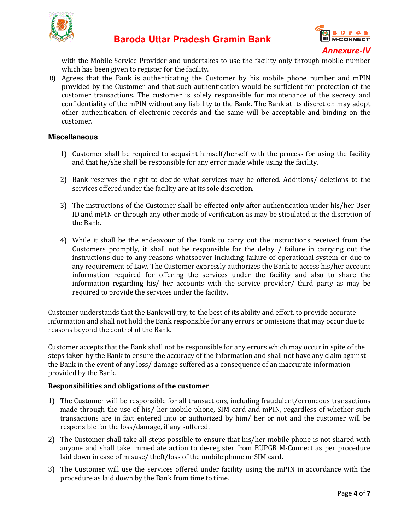



with the Mobile Service Provider and undertakes to use the facility only through mobile number which has been given to register for the facility.

8) Agrees that the Bank is authenticating the Customer by his mobile phone number and mPIN provided by the Customer and that such authentication would be sufficient for protection of the customer transactions. The customer is solely responsible for maintenance of the secrecy and confidentiality of the mPIN without any liability to the Bank. The Bank at its discretion may adopt other authentication of electronic records and the same will be acceptable and customer. itication would be sufficient for protection of the responsible for maintenance of the secrecy and to the Bank. The Bank at its discretion may adopt the same will be acceptable and binding on the

#### **Miscellaneous**

- 1) Customer shall be required to acquaint himself/herself with the process for using the facility and that he/she shall be responsible for any error made while using the facility.
- 2) Bank reserves the right to decide what services may be offered. Additions/ deletions to the services offered under the facility are at its sole discretion.
- 3) The instructions of the Customer shall be effected only after authentication under his/her User ID and mPIN or through any other mode of verification as may be stipulated at the discretion of the Bank. services offered under the facility are at its sole discretion.<br>The instructions of the Customer shall be effected only after authentication under his/her User<br>ID and mPIN or through any other mode of verification as may b
- 4) While it shall be the endeavour of the Bank to carry out the instructions received from the instructions due to any reasons whatsoever including failure of operational system or due to any requirement of Law. The Customer expressly authorizes the Bank to access his/her account information required for offering the services under the facility and also to share the information regarding his/ her accounts with the service provider/ third party as may be required to provide the services under the facility. information regarding his/ her accounts with the service provider/ third party as may<br>required to provide the services under the facility.<br>Customer understands that the Bank will try, to the best of its ability and effort, ructions due to any reasons whatsoever including failure of operational system or due to<br>requirement of Law. The Customer expressly authorizes the Bank to access his/her account<br>rmation required for offering the services u ble for the delay / failure in carrying out the cluding failure of operational system or due to ly authorizes the Bank to access his/her account es under the facility and also to share the service provider/ third party as

information and shall not hold the Bank responsible for any errors or omissions that may occur due to reasons beyond the control of the Bank.

Customer accepts that the Bank shall not be responsible for any errors which may occur in spite of the steps taken by the Bank to ensure the accuracy of the information and shall not have any claim against the Bank in the event of any loss/ damage suffered as a consequence of an inaccurate information provided by the Bank.

#### **Responsibilities and obligations of the customer lities obligations**

- 1) The Customer will be responsible for all transactions, including fraudulent/erroneous The Customer will be responsible for all transactions, including fraudulent/erroneous transactions<br>made through the use of his/ her mobile phone, SIM card and mPIN, regardless of whether such transactions are in fact entered into or authorized by him/ her or not and the customer will be responsible for the loss/damage, if any suffered. of whether such<br>of customer will be is not shared with
- 2) The Customer shall take all steps possible to ensure that his/her mobile phone is not shared with The Customer shall take all steps possible to ensure that his/her mobile phone is not shared with<br>anyone and shall take immediate action to de-register from BUPGB M-Connect as per procedure laid down in case of misuse/ theft/loss of the mobile phone or SIM card.
- 3) The Customer will use the services offered under facility using the mPIN in accordance with the procedure as laid down by the Bank from time to time.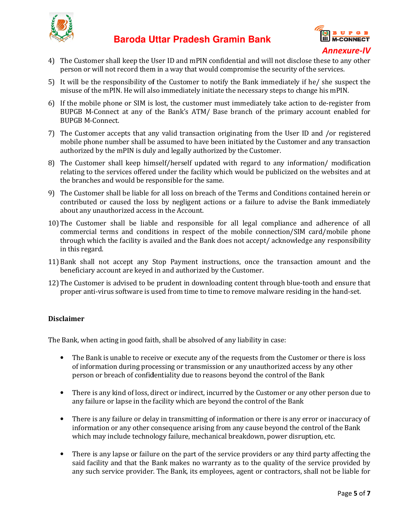



- 4) The Customer shall keep the User ID and mPIN confidential and will not disclose these to any other The Customer shall keep the User ID and mPIN confidential and will not disclose these to a<br>person or will not record them in a way that would compromise the security of the services.
- 5) It will be the responsibility of the Customer to notify the Bank immediately if he/ she suspect the misuse of the mPIN. He will also immediately initiate the necessary steps to change his mPIN.
- 6) If the mobile phone or SIM is lost, the customer must immediately take action to de-register from BUPGB M-Connect at any of the Bank's ATM/ Base branch of the primary account enabled for BUPGB M-Connect at any of the Bank's ATM/ Base branch of the primary account enabled for BUPGB M-Connect.
- 7) The Customer accepts that any valid transaction originating from the User ID and /or registered The Customer accepts that any valid transaction originating from the User ID and /or registered mobile phone number shall be assumed to have been initiated by the Customer and any transaction authorized by the mPIN is duly and legally authorized by the Customer. primary account enabled for<br>he User ID and /or registered<br>Customer and any transaction<br>r.<br>hy information/ modification
- 8) The Customer shall keep himself/herself updated with regard to any information/ relating to the services offered under the facility which would be publicized on the websites and at the branches and would be responsible for the same. relating to the services offered under the facility which would be publicized on the websites and at<br>the branches and would be responsible for the same.<br>9) The Customer shall be liable for all loss on breach of the Terms a
- The Customer shall be liable for all loss on breach of the Terms and Conditions contained herein or contributed or caused the loss by negligent actions or a failure to advise the Bank immediately about any unauthorized access in the Account. % contributed or caused the loss by negligent actions or a failure to advise the Bank immediately<br>about any unauthorized access in the Account.<br>10) The Customer shall be liable and responsible for all legal compliance and
- The Customer shall be liable and responsible for all legal compliance and adherence of all commercial terms and conditions in respect of the mobile connection/SIM card/mobile phone through which the facility is availed and the Bank does not accept/ acknowledge any responsibility in this regard.
- 11) Bank shall not accept any Stop Payment instructions, once the transaction amount and the beneficiary account are keyed in and authorized by the Customer. beneficiary account are keyed in and autho
- 12) The Customer is advised to be prudent in downloading content through blue-tooth and ensure that proper anti-virus software is used from time to time to remove malware residing in the hand-set.

#### **Disclaimer**

The Bank, when acting in good faith, shall be absolved of any liability in case:

- The Bank is unable to receive or execute any of the requests from the Customer Customer or there is loss The Bank is unable to receive or execute any of the requests from the Customer or there is l<br>of information during processing or transmission or any unauthorized access by any other person or breach of confidentiality due to reasons beyond the control of the Bank
- There is any kind of loss, direct or indirect, incurred by the Customer or any other person due to any failure or lapse in the facility which are beyond the control of the Bank any kind of loss, direct or indirect, incurred by the Customer or any<br>re or lapse in the facility which are beyond the control of the Bank<br>any failure or delay in transmitting of information or there is any er
- There is any failure or delay in transmitting of information or there is any error or inaccuracy of information or any other consequence arising from any cause beyond the control of the Bank beyond breakdown, disruption, etc. which may include technology failure, mechanical breakdown, power disrupti
- There is any lapse or failure on the part of the service providers or any third party affecting the There is any lapse or failure on the part of the service providers or any third party affecting the<br>said facility and that the Bank makes no warranty as to the quality of the service provided by any such service provider. The Bank, its employees, agent or contractors, shall not be liable for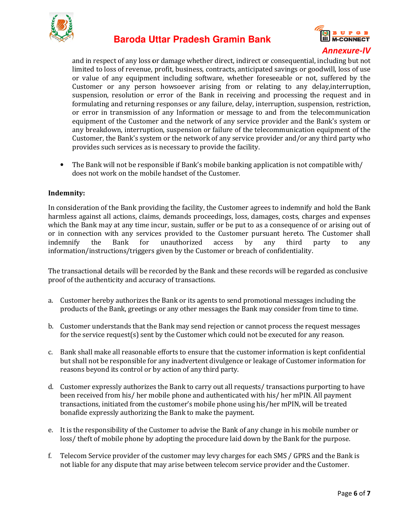



and in respect of any loss or damage whether direct, indirect or consequential, including but not limited to loss of revenue, profit, business, contracts, anticipated savings or goodwill, loss of use or value of any equipment including software, whether foreseeable or not, suffered Customer or any person howsoever arising from or relating to any delay,interruption, suspension, resolution or error of the Bank in receiving and processing the request and in formulating and returning responses or any failure, delay, interruption, suspension, restriction, or error in transmission of any Information or message to and from the telecommunication equipment of the Customer and the network of any service provider and the Bank's system or any breakdown, interruption, suspension or failure of the telecommunication Customer, the Bank's system or the network of any service provider and/or any third party who<br>provides such services as is necessary to provide the facility.<br>The Bank will not be responsible if Bank's mobile banking applic provides such services as is necessary to provide the facility. any equipment including software, whether foreseeable or not, suffered by the<br>r any person howsoever arising from or relating to any delay,interruption,<br>resolution or error of the Bank in receiving and processing the reque **EXECUTE AT THE CONSTRANT CONSTRANT CONSTRANT CONSTRANT CONSTRANT CONSTRANT CONSTRANT CONSTRANT CONSTRANT CONSTRANT CONSTRANT CONSTRANT CONSTRANT CONSTRANT CONSTRANT CONSTRANT CONSTRANT CONSTRANT CONSTRANT CONSTRANT CONSTR** or consequential, including but not<br>ted savings or goodwill, loss of use<br>reseeable or not, suffered by the the request and in interruption, suspension, restriction, to and from the telecommunication eprovider and the Bank's system or telecommunication equipment of the

• The Bank will not be responsible if Bank's mobile banking application is not compatible does not work on the mobile handset of the Customer Customer.

#### **Indemnity:**

In consideration of the Bank providing the facility, the Customer agrees to indemnify and hold the Bank harmless against all actions, claims, demands proceedings, loss, loss, damages, costs, charges and expenses which the Bank may at any time incur, sustain, suffer or be put to as a consequence of or arising out of or in connection with any services provided to the Customer pursuant hereto. The Customer shall indemnify the Bank for unauthorized access by any third party to any information/instructions/triggers given by the Customer or breach of confidentiality or in connection with any services provided to the Customer pursuant hereto. The Customer shall<br>indemnify the Bank for unauthorized access by any third party to any<br>information/instructions/triggers given by the Customer o mands proceedings, loss, damages, costs, charges and expenses<br>sustain, suffer or be put to as a consequence of or arising out of<br>ovided to the Customer pursuant hereto. The Customer shall<br>uthorized access by any third part

proof of the authenticity and accuracy of transactions.

- proof of the authenticity and accuracy of transactions.<br>a. Customer hereby authorizes the Bank or its agents to send promotional messages including the products of the Bank, greetings or any other messages the Bank may consider from time to time.
- b. Customer understands that the Bank may send rejection or cannot process the request messages for the service request(s) sent by the Customer which could not be executed for any reaso records will be regarded as conclusive<br>romotional messages including the<br>ank may consider from time to time.<br>cannot process the request messages<br>not be executed for any reason.
- c. Bank shall make all reasonable efforts to ensure that the customer information is kept confidential Bank shall make all reasonable efforts to ensure that the customer information is kept confidential<br>but shall not be responsible for any inadvertent divulgence or leakage of Customer information for reasons beyond its control or by action of any third party.
- d. Customer expressly authorizes the Bank to carry out all requests/ transactions purporting to have been received from his/ her mobile phone and authenticated with his/ her mPIN. All payment transactions, initiated from the customer's mobile phone using his/her mPIN, will be treated bonafide expressly authorizing the the Bank to make the payment.
- e. It is the responsibility of the Customer to advise the Bank of any change in his mobile number or transactions, initiated from the customer's mobile phone using his/her mPIN, will be treated<br>bonafide expressly authorizing the Bank to make the payment.<br>It is the responsibility of the Customer to advise the Bank of any c
- f. Telecom Service provider of the customer may levy charges for each SMS / GPRS and the Bank is not liable for any dispute that may arise between telecom service provider and the Customer.